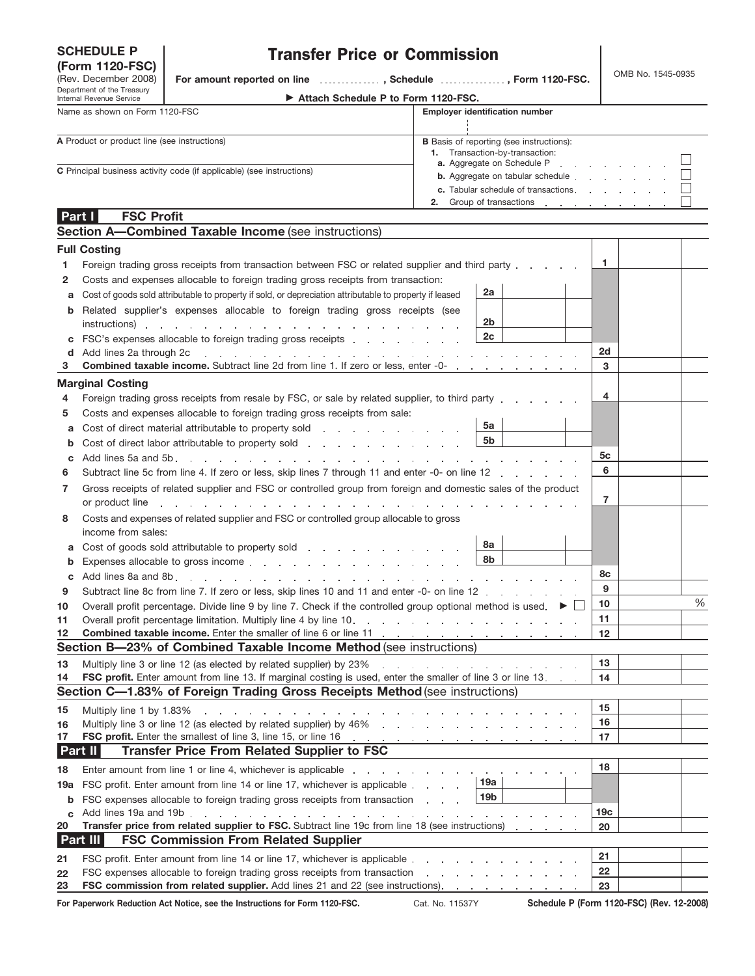# **SCHEDULE P**

Department of the Treasury Internal Revenue Service (Rev. December 2008)

# Transfer Price or Commission

**(Form 1120-FSC)** OMB No. 1545-0935 **For amount reported on line , Schedule , Form 1120-FSC.**

| Attach Schedule P to Form 1120-FSC. |  |
|-------------------------------------|--|
|-------------------------------------|--|

| Name as shown on Form 1120-FSC                                               | <b>Employer identification number</b>                                                                                           |
|------------------------------------------------------------------------------|---------------------------------------------------------------------------------------------------------------------------------|
|                                                                              |                                                                                                                                 |
| A Product or product line (see instructions)                                 | <b>B</b> Basis of reporting (see instructions):<br>1. Transaction-by-transaction:<br><b>a.</b> Aggregate on Schedule P $\Box$   |
| <b>C</b> Principal business activity code (if applicable) (see instructions) | <b>b.</b> Aggregate on tabular schedule $\qquad \qquad \qquad \qquad \Box$<br><b>c.</b> Tabular schedule of transactions $\Box$ |
|                                                                              | 2. Group of transactions $\Box$                                                                                                 |
| Part I<br><b>FSC Profit</b>                                                  |                                                                                                                                 |
| <b>Section A-Combined Taxable Income (see instructions)</b>                  |                                                                                                                                 |

|          | <b>Full Costing</b>                                                                                                                                                                                                                              |                                                                                                                 |                 |   |
|----------|--------------------------------------------------------------------------------------------------------------------------------------------------------------------------------------------------------------------------------------------------|-----------------------------------------------------------------------------------------------------------------|-----------------|---|
| 1        | Foreign trading gross receipts from transaction between FSC or related supplier and third party.                                                                                                                                                 |                                                                                                                 | 1.              |   |
| 2        | Costs and expenses allocable to foreign trading gross receipts from transaction:                                                                                                                                                                 |                                                                                                                 |                 |   |
| a        | Cost of goods sold attributable to property if sold, or depreciation attributable to property if leased                                                                                                                                          | 2a                                                                                                              |                 |   |
| b        | Related supplier's expenses allocable to foreign trading gross receipts (see                                                                                                                                                                     |                                                                                                                 |                 |   |
|          | instructions).<br>the contract of the contract of the contract of the contract of the contract of the                                                                                                                                            | 2 <sub>b</sub>                                                                                                  |                 |   |
| с        | FSC's expenses allocable to foreign trading gross receipts [14] [15] FSC's expenses allocable to foreign trading gross receipts                                                                                                                  | 2c                                                                                                              |                 |   |
| d        | Add lines 2a through 2c<br>.<br>and the state of the state of                                                                                                                                                                                    | <b>Contract Contract</b>                                                                                        | 2d              |   |
| з        | <b>Combined taxable income.</b> Subtract line 2d from line 1. If zero or less, enter -0-                                                                                                                                                         |                                                                                                                 | 3               |   |
|          | <b>Marginal Costing</b>                                                                                                                                                                                                                          |                                                                                                                 |                 |   |
| 4        | Foreign trading gross receipts from resale by FSC, or sale by related supplier, to third party                                                                                                                                                   |                                                                                                                 | 4               |   |
| 5        | Costs and expenses allocable to foreign trading gross receipts from sale:                                                                                                                                                                        |                                                                                                                 |                 |   |
| a        | Cost of direct material attributable to property sold example and the cost of direct material attributable to property sold                                                                                                                      | 5a                                                                                                              |                 |   |
| b        | Cost of direct labor attributable to property sold entity and the cost of direct labor attributable to property sold                                                                                                                             | 5b                                                                                                              |                 |   |
| c        | Add lines 5a and 5b.<br>the contract of the contract of the                                                                                                                                                                                      |                                                                                                                 | 5c              |   |
| 6        | Subtract line 5c from line 4. If zero or less, skip lines 7 through 11 and enter -0- on line 12                                                                                                                                                  |                                                                                                                 | 6               |   |
| 7        | Gross receipts of related supplier and FSC or controlled group from foreign and domestic sales of the product                                                                                                                                    |                                                                                                                 |                 |   |
|          | or product line                                                                                                                                                                                                                                  |                                                                                                                 | 7               |   |
| 8        | Costs and expenses of related supplier and FSC or controlled group allocable to gross                                                                                                                                                            |                                                                                                                 |                 |   |
|          | income from sales:                                                                                                                                                                                                                               |                                                                                                                 |                 |   |
| a        | Cost of goods sold attributable to property sold example and solution of the solution of the solution of the solution of the solution of the solution of the solution of the solution of the solution of the solution of the s                   | 8a                                                                                                              |                 |   |
| b        | Expenses allocable to gross income experience and a series of the series of the series of the series of the series of the series of the series of the series of the series of the series of the series of the series of the se                   | 8b                                                                                                              |                 |   |
| c        | Add lines 8a and 8b.<br>and the company of the company<br>the contract of the contract of                                                                                                                                                        |                                                                                                                 | 8с              |   |
| 9        | Subtract line 8c from line 7. If zero or less, skip lines 10 and 11 and enter -0- on line 12                                                                                                                                                     |                                                                                                                 | 9               | % |
| 10       | Overall profit percentage. Divide line 9 by line 7. Check if the controlled group optional method is used. ▶                                                                                                                                     |                                                                                                                 | 10              |   |
| 11       | Overall profit percentage limitation. Multiply line 4 by line 10.<br>the contract of the contract of the contract of the contract of the contract of the contract of the contract of                                                             |                                                                                                                 | 11              |   |
| 12       | Combined taxable income. Enter the smaller of line 6 or line 11<br>Section B-23% of Combined Taxable Income Method (see instructions)                                                                                                            | the contract of the contract of the contract of the con-                                                        | $12 \,$         |   |
|          |                                                                                                                                                                                                                                                  |                                                                                                                 | 13              |   |
| 13<br>14 | Multiply line 3 or line 12 (as elected by related supplier) by 23%<br><b>FSC profit.</b> Enter amount from line 13. If marginal costing is used, enter the smaller of line 3 or line 13.                                                         | the contract of the contract of the contract of the contract of the contract of the contract of the contract of | 14              |   |
|          | Section C-1.83% of Foreign Trading Gross Receipts Method (see instructions)                                                                                                                                                                      |                                                                                                                 |                 |   |
|          |                                                                                                                                                                                                                                                  |                                                                                                                 | 15              |   |
| 15       | Multiply line 1 by 1.83%<br>the contract of the contract of the con-<br>Multiply line 3 or line 12 (as elected by related supplier) by 46%                                                                                                       |                                                                                                                 | 16              |   |
| 16<br>17 | the company of the company of the company<br>FSC profit. Enter the smallest of line 3, line 15, or line 16 [11] All contracts and the smallest of line 3, line 15, or line 16 [11] All contracts and the smallest of line 3, line 15, or line 16 |                                                                                                                 | 17              |   |
|          | <b>Transfer Price From Related Supplier to FSC</b><br><b>Part II</b>                                                                                                                                                                             |                                                                                                                 |                 |   |
| 18       | Enter amount from line 1 or line 4, whichever is applicable                                                                                                                                                                                      |                                                                                                                 | 18              |   |
|          | 19a FSC profit. Enter amount from line 14 or line 17, whichever is applicable.                                                                                                                                                                   | 19a                                                                                                             |                 |   |
| b        | FSC expenses allocable to foreign trading gross receipts from transaction                                                                                                                                                                        | 19b                                                                                                             |                 |   |
| C        | Add lines 19a and 19b.                                                                                                                                                                                                                           |                                                                                                                 | 19 <sub>c</sub> |   |
| 20       | Transfer price from related supplier to FSC. Subtract line 19c from line 18 (see instructions)                                                                                                                                                   |                                                                                                                 | 20              |   |
|          | Part III<br><b>FSC Commission From Related Supplier</b>                                                                                                                                                                                          |                                                                                                                 |                 |   |
| 21       | FSC profit. Enter amount from line 14 or line 17, whichever is applicable.                                                                                                                                                                       |                                                                                                                 | 21              |   |
| 22       | FSC expenses allocable to foreign trading gross receipts from transaction                                                                                                                                                                        |                                                                                                                 | 22              |   |
| 23       | FSC commission from related supplier. Add lines 21 and 22 (see instructions).                                                                                                                                                                    |                                                                                                                 | 23              |   |
|          |                                                                                                                                                                                                                                                  |                                                                                                                 |                 |   |

For Paperwork Reduction Act Notice, see the Instructions for Form 1120-FSC. Cat. No. 11537Y Schedule P (Form 1120-FSC) (Rev. 12-2008)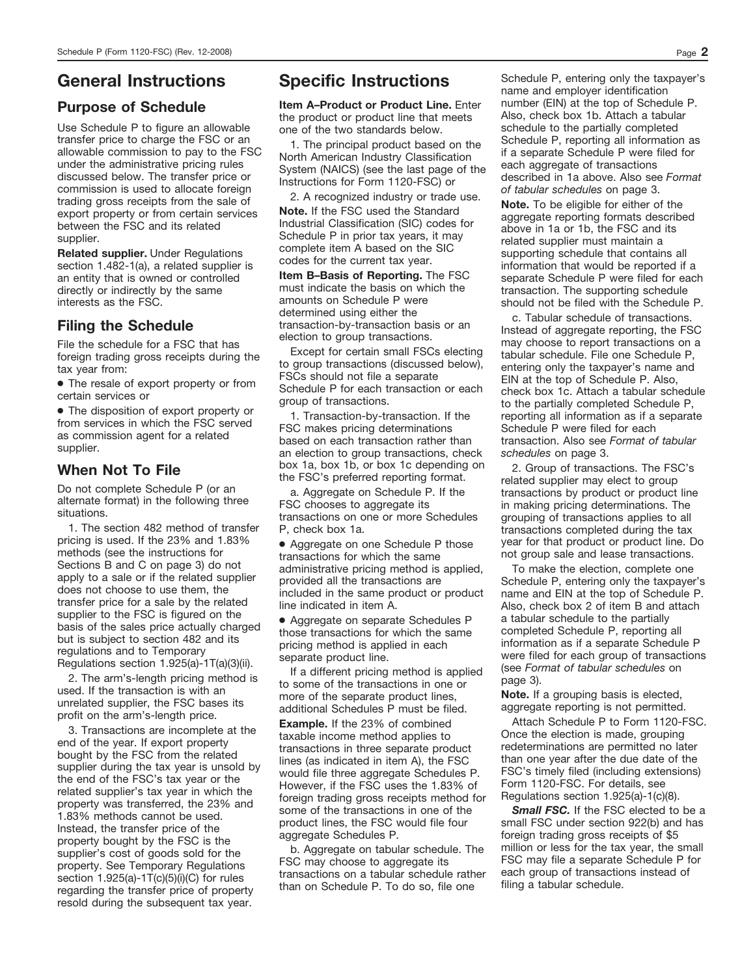# **General Instructions**

# **Purpose of Schedule**

Use Schedule P to figure an allowable transfer price to charge the FSC or an allowable commission to pay to the FSC under the administrative pricing rules discussed below. The transfer price or commission is used to allocate foreign trading gross receipts from the sale of export property or from certain services between the FSC and its related supplier.

**Related supplier.** Under Regulations section 1.482-1(a), a related supplier is an entity that is owned or controlled directly or indirectly by the same interests as the FSC.

## **Filing the Schedule**

File the schedule for a FSC that has foreign trading gross receipts during the tax year from:

● The resale of export property or from certain services or

● The disposition of export property or from services in which the FSC served as commission agent for a related supplier.

## **When Not To File**

Do not complete Schedule P (or an alternate format) in the following three situations.

1. The section 482 method of transfer pricing is used. If the 23% and 1.83% methods (see the instructions for Sections B and C on page 3) do not apply to a sale or if the related supplier does not choose to use them, the transfer price for a sale by the related supplier to the FSC is figured on the basis of the sales price actually charged but is subject to section 482 and its regulations and to Temporary Regulations section 1.925(a)-1T(a)(3)(ii).

2. The arm's-length pricing method is used. If the transaction is with an unrelated supplier, the FSC bases its profit on the arm's-length price.

3. Transactions are incomplete at the end of the year. If export property bought by the FSC from the related supplier during the tax year is unsold by the end of the FSC's tax year or the related supplier's tax year in which the property was transferred, the 23% and 1.83% methods cannot be used. Instead, the transfer price of the property bought by the FSC is the supplier's cost of goods sold for the property. See Temporary Regulations section 1.925(a)-1T(c)(5)(i)(C) for rules regarding the transfer price of property resold during the subsequent tax year.

# **Specific Instructions**

**Item A–Product or Product Line.** Enter the product or product line that meets one of the two standards below.

1. The principal product based on the North American Industry Classification System (NAICS) (see the last page of the Instructions for Form 1120-FSC) or

**Note.** If the FSC used the Standard Industrial Classification (SIC) codes for Schedule P in prior tax years, it may complete item A based on the SIC codes for the current tax year. 2. A recognized industry or trade use.

**Item B–Basis of Reporting.** The FSC must indicate the basis on which the amounts on Schedule P were determined using either the transaction-by-transaction basis or an election to group transactions.

Except for certain small FSCs electing to group transactions (discussed below), FSCs should not file a separate Schedule P for each transaction or each group of transactions.

1. Transaction-by-transaction. If the FSC makes pricing determinations based on each transaction rather than an election to group transactions, check box 1a, box 1b, or box 1c depending on the FSC's preferred reporting format.

a. Aggregate on Schedule P. If the FSC chooses to aggregate its transactions on one or more Schedules P, check box 1a.

● Aggregate on one Schedule P those transactions for which the same administrative pricing method is applied, provided all the transactions are included in the same product or product line indicated in item A.

● Aggregate on separate Schedules P those transactions for which the same pricing method is applied in each separate product line.

If a different pricing method is applied to some of the transactions in one or more of the separate product lines, additional Schedules P must be filed.

**Example.** If the 23% of combined taxable income method applies to transactions in three separate product lines (as indicated in item A), the FSC would file three aggregate Schedules P. However, if the FSC uses the 1.83% of foreign trading gross receipts method for some of the transactions in one of the product lines, the FSC would file four aggregate Schedules P.

b. Aggregate on tabular schedule. The FSC may choose to aggregate its transactions on a tabular schedule rather than on Schedule P. To do so, file one

Schedule P, entering only the taxpayer's name and employer identification number (EIN) at the top of Schedule P. Also, check box 1b. Attach a tabular schedule to the partially completed Schedule P, reporting all information as if a separate Schedule P were filed for each aggregate of transactions described in 1a above. Also see *Format of tabular schedules* on page 3.

**Note.** To be eligible for either of the aggregate reporting formats described above in 1a or 1b, the FSC and its related supplier must maintain a supporting schedule that contains all information that would be reported if a separate Schedule P were filed for each transaction. The supporting schedule should not be filed with the Schedule P.

c. Tabular schedule of transactions. Instead of aggregate reporting, the FSC may choose to report transactions on a tabular schedule. File one Schedule P, entering only the taxpayer's name and EIN at the top of Schedule P. Also, check box 1c. Attach a tabular schedule to the partially completed Schedule P, reporting all information as if a separate Schedule P were filed for each transaction. Also see *Format of tabular schedules* on page 3.

2. Group of transactions. The FSC's related supplier may elect to group transactions by product or product line in making pricing determinations. The grouping of transactions applies to all transactions completed during the tax year for that product or product line. Do not group sale and lease transactions.

To make the election, complete one Schedule P, entering only the taxpayer's name and EIN at the top of Schedule P. Also, check box 2 of item B and attach a tabular schedule to the partially completed Schedule P, reporting all information as if a separate Schedule P were filed for each group of transactions (see *Format of tabular schedules* on page 3).

**Note.** If a grouping basis is elected, aggregate reporting is not permitted.

Attach Schedule P to Form 1120-FSC. Once the election is made, grouping redeterminations are permitted no later than one year after the due date of the FSC's timely filed (including extensions) Form 1120-FSC. For details, see Regulations section 1.925(a)-1(c)(8).

*Small FSC.* If the FSC elected to be a small FSC under section 922(b) and has foreign trading gross receipts of \$5 million or less for the tax year, the small FSC may file a separate Schedule P for each group of transactions instead of filing a tabular schedule.